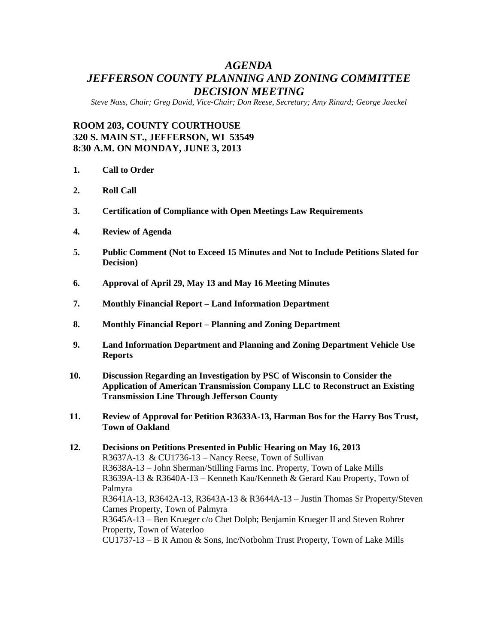## *AGENDA JEFFERSON COUNTY PLANNING AND ZONING COMMITTEE DECISION MEETING*

*Steve Nass, Chair; Greg David, Vice-Chair; Don Reese, Secretary; Amy Rinard; George Jaeckel*

## **ROOM 203, COUNTY COURTHOUSE 320 S. MAIN ST., JEFFERSON, WI 53549 8:30 A.M. ON MONDAY, JUNE 3, 2013**

- **1. Call to Order**
- **2. Roll Call**
- **3. Certification of Compliance with Open Meetings Law Requirements**
- **4. Review of Agenda**
- **5. Public Comment (Not to Exceed 15 Minutes and Not to Include Petitions Slated for Decision)**
- **6. Approval of April 29, May 13 and May 16 Meeting Minutes**
- **7. Monthly Financial Report – Land Information Department**
- **8. Monthly Financial Report – Planning and Zoning Department**
- **9. Land Information Department and Planning and Zoning Department Vehicle Use Reports**
- **10. Discussion Regarding an Investigation by PSC of Wisconsin to Consider the Application of American Transmission Company LLC to Reconstruct an Existing Transmission Line Through Jefferson County**
- **11. Review of Approval for Petition R3633A-13, Harman Bos for the Harry Bos Trust, Town of Oakland**

**12. Decisions on Petitions Presented in Public Hearing on May 16, 2013** R3637A-13 & CU1736-13 – Nancy Reese, Town of Sullivan R3638A-13 – John Sherman/Stilling Farms Inc. Property, Town of Lake Mills R3639A-13 & R3640A-13 – Kenneth Kau/Kenneth & Gerard Kau Property, Town of Palmyra R3641A-13, R3642A-13, R3643A-13 & R3644A-13 – Justin Thomas Sr Property/Steven Carnes Property, Town of Palmyra R3645A-13 – Ben Krueger c/o Chet Dolph; Benjamin Krueger II and Steven Rohrer Property, Town of Waterloo CU1737-13 – B R Amon & Sons, Inc/Notbohm Trust Property, Town of Lake Mills